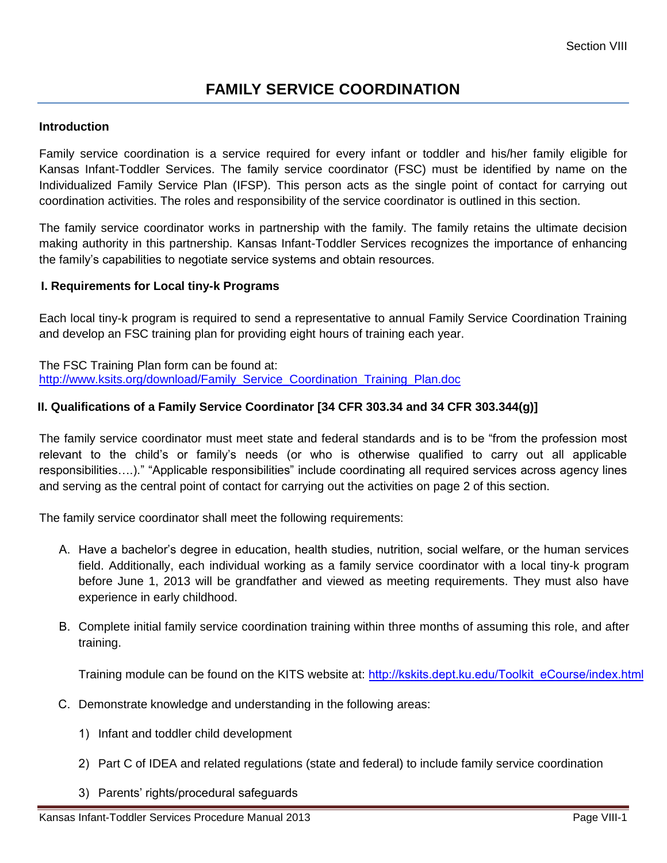# **FAMILY SERVICE COORDINATION**

#### **Introduction**

Family service coordination is a service required for every infant or toddler and his/her family eligible for Kansas Infant-Toddler Services. The family service coordinator (FSC) must be identified by name on the Individualized Family Service Plan (IFSP). This person acts as the single point of contact for carrying out coordination activities. The roles and responsibility of the service coordinator is outlined in this section.

The family service coordinator works in partnership with the family. The family retains the ultimate decision making authority in this partnership. Kansas Infant-Toddler Services recognizes the importance of enhancing the family's capabilities to negotiate service systems and obtain resources.

#### **I. Requirements for Local tiny-k Programs**

Each local tiny-k program is required to send a representative to annual Family Service Coordination Training and develop an FSC training plan for providing eight hours of training each year.

The FSC Training Plan form can be found at: [http://www.ksits.org/download/Family\\_Service\\_Coordination\\_Training\\_Plan.doc](http://www.ksits.org/download/Family_Service_Coordination_Training_Plan.doc)

#### **II. Qualifications of a Family Service Coordinator [34 CFR 303.34 and 34 CFR 303.344(g)]**

The family service coordinator must meet state and federal standards and is to be "from the profession most relevant to the child's or family's needs (or who is otherwise qualified to carry out all applicable responsibilities….)." "Applicable responsibilities" include coordinating all required services across agency lines and serving as the central point of contact for carrying out the activities on page 2 of this section.

The family service coordinator shall meet the following requirements:

- A. Have a bachelor's degree in education, health studies, nutrition, social welfare, or the human services field. Additionally, each individual working as a family service coordinator with a local tiny-k program before June 1, 2013 will be grandfather and viewed as meeting requirements. They must also have experience in early childhood.
- B. Complete initial family service coordination training within three months of assuming this role, and after training.

Training module can be found on the KITS website at: [http://kskits.dept.ku.edu/Toolkit\\_eCourse/index.html](http://kskits.dept.ku.edu/Toolkit_eCourse/index.html)

- C. Demonstrate knowledge and understanding in the following areas:
	- 1) Infant and toddler child development
	- 2) Part C of IDEA and related regulations (state and federal) to include family service coordination
	- 3) Parents' rights/procedural safeguards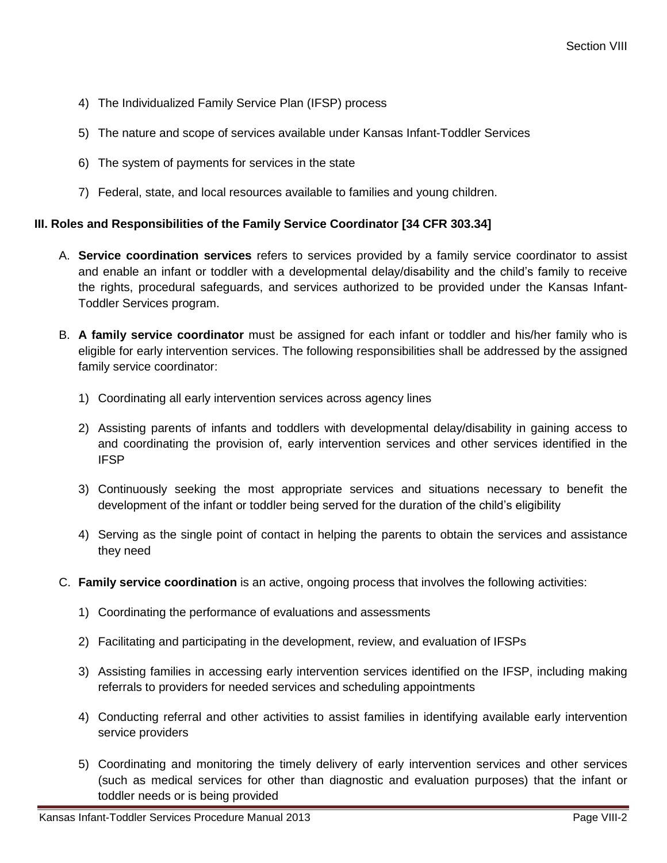- 4) The Individualized Family Service Plan (IFSP) process
- 5) The nature and scope of services available under Kansas Infant-Toddler Services
- 6) The system of payments for services in the state
- 7) Federal, state, and local resources available to families and young children.

## **III. Roles and Responsibilities of the Family Service Coordinator [34 CFR 303.34]**

- A. **Service coordination services** refers to services provided by a family service coordinator to assist and enable an infant or toddler with a developmental delay/disability and the child's family to receive the rights, procedural safeguards, and services authorized to be provided under the Kansas Infant-Toddler Services program.
- B. **A family service coordinator** must be assigned for each infant or toddler and his/her family who is eligible for early intervention services. The following responsibilities shall be addressed by the assigned family service coordinator:
	- 1) Coordinating all early intervention services across agency lines
	- 2) Assisting parents of infants and toddlers with developmental delay/disability in gaining access to and coordinating the provision of, early intervention services and other services identified in the IFSP
	- 3) Continuously seeking the most appropriate services and situations necessary to benefit the development of the infant or toddler being served for the duration of the child's eligibility
	- 4) Serving as the single point of contact in helping the parents to obtain the services and assistance they need
- C. **Family service coordination** is an active, ongoing process that involves the following activities:
	- 1) Coordinating the performance of evaluations and assessments
	- 2) Facilitating and participating in the development, review, and evaluation of IFSPs
	- 3) Assisting families in accessing early intervention services identified on the IFSP, including making referrals to providers for needed services and scheduling appointments
	- 4) Conducting referral and other activities to assist families in identifying available early intervention service providers
	- 5) Coordinating and monitoring the timely delivery of early intervention services and other services (such as medical services for other than diagnostic and evaluation purposes) that the infant or toddler needs or is being provided